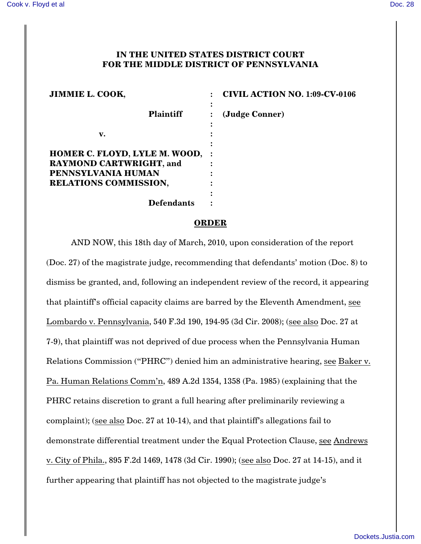## **IN THE UNITED STATES DISTRICT COURT FOR THE MIDDLE DISTRICT OF PENNSYLVANIA**

| <b>JIMMIE L. COOK,</b>                               | <b>CIVIL ACTION NO. 1:09-CV-0106</b> |
|------------------------------------------------------|--------------------------------------|
| <b>Plaintiff</b>                                     | (Judge Conner)                       |
| v.                                                   |                                      |
| <b>HOMER C. FLOYD, LYLE M. WOOD, :</b>               |                                      |
| <b>RAYMOND CARTWRIGHT, and</b><br>PENNSYLVANIA HUMAN |                                      |
| RELATIONS COMMISSION,                                |                                      |
| <b>Defendants</b>                                    |                                      |

## **ORDER**

AND NOW, this 18th day of March, 2010, upon consideration of the report (Doc. 27) of the magistrate judge, recommending that defendants' motion (Doc. 8) to dismiss be granted, and, following an independent review of the record, it appearing that plaintiff's official capacity claims are barred by the Eleventh Amendment, see Lombardo v. Pennsylvania, 540 F.3d 190, 194-95 (3d Cir. 2008); (see also Doc. 27 at 7-9), that plaintiff was not deprived of due process when the Pennsylvania Human Relations Commission ("PHRC") denied him an administrative hearing, see Baker v. Pa. Human Relations Comm'n, 489 A.2d 1354, 1358 (Pa. 1985) (explaining that the PHRC retains discretion to grant a full hearing after preliminarily reviewing a complaint); (see also Doc. 27 at 10-14), and that plaintiff's allegations fail to demonstrate differential treatment under the Equal Protection Clause, see Andrews v. City of Phila., 895 F.2d 1469, 1478 (3d Cir. 1990); (see also Doc. 27 at 14-15), and it further appearing that plaintiff has not objected to the magistrate judge's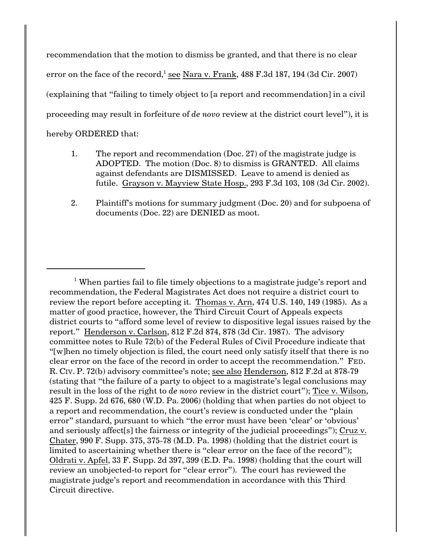recommendation that the motion to dismiss be granted, and that there is no clear error on the face of the record,<sup>1</sup> see Nara v. Frank,  $488$  F.3d  $187$ ,  $194$   $(3d$  Cir.  $2007)$ (explaining that "failing to timely object to [a report and recommendation] in a civil proceeding may result in forfeiture of *de novo* review at the district court level"), it is hereby ORDERED that:

- 1. The report and recommendation (Doc. 27) of the magistrate judge is ADOPTED. The motion (Doc. 8) to dismiss is GRANTED. All claims against defendants are DISMISSED. Leave to amend is denied as futile. Grayson v. Mayview State Hosp., 293 F.3d 103, 108 (3d Cir. 2002).
- 2. Plaintiff's motions for summary judgment (Doc. 20) and for subpoena of documents (Doc. 22) are DENIED as moot.

<sup>&</sup>lt;sup>1</sup> When parties fail to file timely objections to a magistrate judge's report and recommendation, the Federal Magistrates Act does not require a district court to review the report before accepting it. Thomas v. Arn, 474 U.S. 140, 149 (1985). As a matter of good practice, however, the Third Circuit Court of Appeals expects district courts to "afford some level of review to dispositive legal issues raised by the report." Henderson v. Carlson, 812 F.2d 874, 878 (3d Cir. 1987). The advisory committee notes to Rule 72(b) of the Federal Rules of Civil Procedure indicate that "[w]hen no timely objection is filed, the court need only satisfy itself that there is no clear error on the face of the record in order to accept the recommendation." FED. R. CIV. P. 72(b) advisory committee's note; see also Henderson, 812 F.2d at 878-79 (stating that "the failure of a party to object to a magistrate's legal conclusions may result in the loss of the right to *de novo* review in the district court"); Tice v. Wilson, 425 F. Supp. 2d 676, 680 (W.D. Pa. 2006) (holding that when parties do not object to a report and recommendation, the court's review is conducted under the "plain error" standard, pursuant to which "the error must have been 'clear' or 'obvious' and seriously affect[s] the fairness or integrity of the judicial proceedings"); Cruz v. Chater, 990 F. Supp. 375, 375-78 (M.D. Pa. 1998) (holding that the district court is limited to ascertaining whether there is "clear error on the face of the record"); Oldrati v. Apfel, 33 F. Supp. 2d 397, 399 (E.D. Pa. 1998) (holding that the court will review an unobjected-to report for "clear error"). The court has reviewed the magistrate judge's report and recommendation in accordance with this Third Circuit directive.